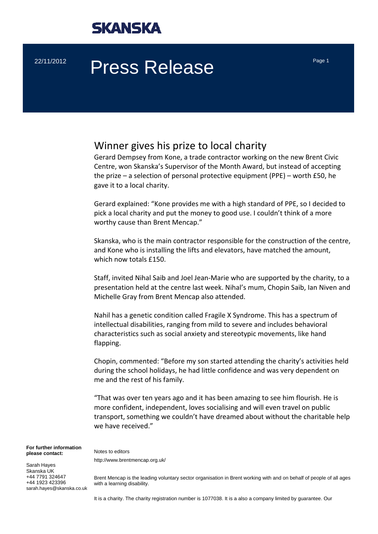

# $22/11/2012$  Press Release Page 1

### Winner gives his prize to local charity

Gerard Dempsey from Kone, a trade contractor working on the new Brent Civic Centre, won Skanska's Supervisor of the Month Award, but instead of accepting the prize – a selection of personal protective equipment (PPE) – worth £50, he gave it to a local charity.

Gerard explained: "Kone provides me with a high standard of PPE, so I decided to pick a local charity and put the money to good use. I couldn't think of a more worthy cause than Brent Mencap."

Skanska, who is the main contractor responsible for the construction of the centre, and Kone who is installing the lifts and elevators, have matched the amount, which now totals £150.

Staff, invited Nihal Saib and Joel Jean‐Marie who are supported by the charity, to a presentation held at the centre last week. Nihal's mum, Chopin Saib, Ian Niven and Michelle Gray from Brent Mencap also attended.

Nahil has a genetic condition called Fragile X Syndrome. This has a spectrum of intellectual disabilities, ranging from mild to severe and includes behavioral characteristics such as social anxiety and stereotypic movements, like hand flapping.

Chopin, commented: "Before my son started attending the charity's activities held during the school holidays, he had little confidence and was very dependent on me and the rest of his family.

"That was over ten years ago and it has been amazing to see him flourish. He is more confident, independent, loves socialising and will even travel on public transport, something we couldn't have dreamed about without the charitable help we have received."

**For further information please contact:** 

Notes to editors http://www.brentmencap.org.uk/

Sarah Hayes Skanska UK +44 7791 324647 +44 1923 423396 sarah.hayes@skanska.co.uk

Brent Mencap is the leading voluntary sector organisation in Brent working with and on behalf of people of all ages with a learning disability.

It is a charity. The charity registration number is 1077038. It is a also a company limited by guarantee. Our